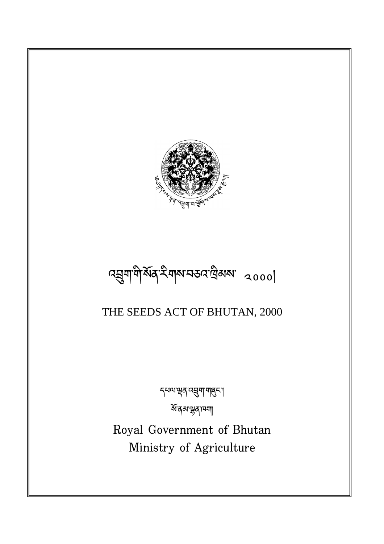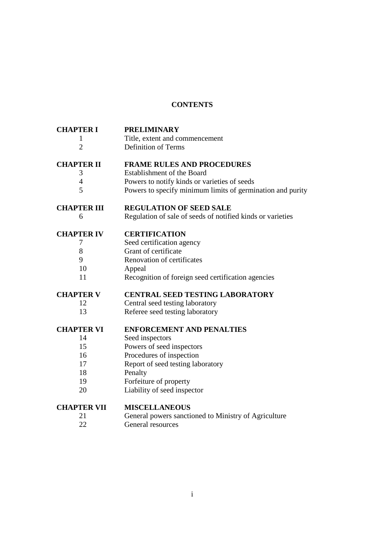# **CONTENTS**

| <b>CHAPTER I</b><br>1 | <b>PRELIMINARY</b><br>Title, extent and commencement       |
|-----------------------|------------------------------------------------------------|
| $\overline{2}$        | <b>Definition of Terms</b>                                 |
| <b>CHAPTER II</b>     | <b>FRAME RULES AND PROCEDURES</b>                          |
| 3                     | Establishment of the Board                                 |
| $\overline{4}$        | Powers to notify kinds or varieties of seeds               |
| 5                     | Powers to specify minimum limits of germination and purity |
| <b>CHAPTER III</b>    | <b>REGULATION OF SEED SALE</b>                             |
| 6                     | Regulation of sale of seeds of notified kinds or varieties |
| <b>CHAPTER IV</b>     | <b>CERTIFICATION</b>                                       |
| 7                     | Seed certification agency                                  |
| 8                     | Grant of certificate                                       |
| 9                     | Renovation of certificates                                 |
| 10                    | Appeal                                                     |
| 11                    | Recognition of foreign seed certification agencies         |
| <b>CHAPTER V</b>      | <b>CENTRAL SEED TESTING LABORATORY</b>                     |
| 12                    | Central seed testing laboratory                            |
| 13                    | Referee seed testing laboratory                            |
| <b>CHAPTER VI</b>     | <b>ENFORCEMENT AND PENALTIES</b>                           |
| 14                    | Seed inspectors                                            |
| 15                    | Powers of seed inspectors                                  |
| 16                    | Procedures of inspection                                   |
| 17                    | Report of seed testing laboratory                          |
| 18                    | Penalty                                                    |
| 19                    | Forfeiture of property                                     |
| 20                    | Liability of seed inspector                                |
| <b>CHAPTER VII</b>    | <b>MISCELLANEOUS</b>                                       |
| 21                    | General powers sanctioned to Ministry of Agriculture       |
| 22                    | General resources                                          |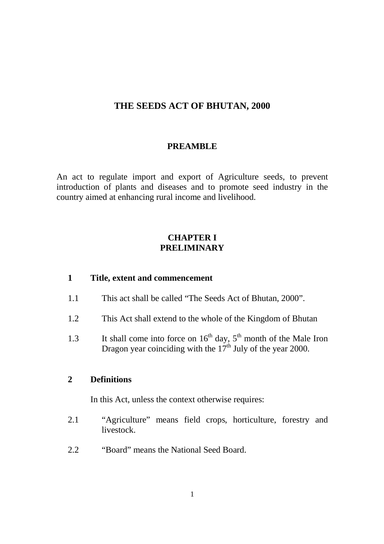# **THE SEEDS ACT OF BHUTAN, 2000**

#### **PREAMBLE**

An act to regulate import and export of Agriculture seeds, to prevent introduction of plants and diseases and to promote seed industry in the country aimed at enhancing rural income and livelihood.

### **CHAPTER I PRELIMINARY**

#### **1 Title, extent and commencement**

- 1.1 This act shall be called "The Seeds Act of Bhutan, 2000".
- 1.2 This Act shall extend to the whole of the Kingdom of Bhutan
- 1.3 It shall come into force on  $16<sup>th</sup>$  day,  $5<sup>th</sup>$  month of the Male Iron Dragon year coinciding with the  $17<sup>th</sup>$  July of the year 2000.

### **2 Definitions**

In this Act, unless the context otherwise requires:

- 2.1 "Agriculture" means field crops, horticulture, forestry and livestock.
- 2.2 "Board" means the National Seed Board.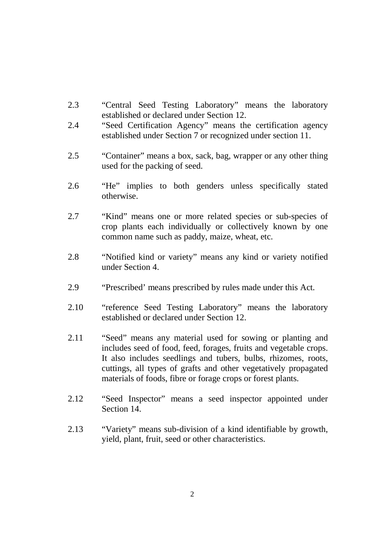- 2.3 "Central Seed Testing Laboratory" means the laboratory established or declared under Section 12.
- 2.4 "Seed Certification Agency" means the certification agency established under Section 7 or recognized under section 11.
- 2.5 "Container" means a box, sack, bag, wrapper or any other thing used for the packing of seed.
- 2.6 "He" implies to both genders unless specifically stated otherwise.
- 2.7 "Kind" means one or more related species or sub-species of crop plants each individually or collectively known by one common name such as paddy, maize, wheat, etc.
- 2.8 "Notified kind or variety" means any kind or variety notified under Section 4.
- 2.9 "Prescribed' means prescribed by rules made under this Act.
- 2.10 "reference Seed Testing Laboratory" means the laboratory established or declared under Section 12.
- 2.11 "Seed" means any material used for sowing or planting and includes seed of food, feed, forages, fruits and vegetable crops. It also includes seedlings and tubers, bulbs, rhizomes, roots, cuttings, all types of grafts and other vegetatively propagated materials of foods, fibre or forage crops or forest plants.
- 2.12 "Seed Inspector" means a seed inspector appointed under Section 14.
- 2.13 "Variety" means sub-division of a kind identifiable by growth, yield, plant, fruit, seed or other characteristics.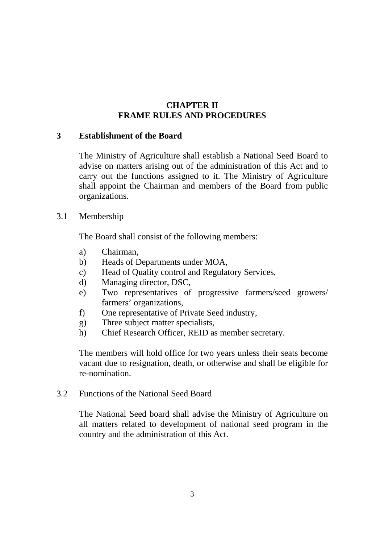# **CHAPTER II FRAME RULES AND PROCEDURES**

# **3 Establishment of the Board**

The Ministry of Agriculture shall establish a National Seed Board to advise on matters arising out of the administration of this Act and to carry out the functions assigned to it. The Ministry of Agriculture shall appoint the Chairman and members of the Board from public organizations.

### 3.1 Membership

The Board shall consist of the following members:

- a) Chairman,
- b) Heads of Departments under MOA,
- c) Head of Quality control and Regulatory Services,
- d) Managing director, DSC,
- e) Two representatives of progressive farmers/seed growers/ farmers' organizations,
- f) One representative of Private Seed industry,
- g) Three subject matter specialists,
- h) Chief Research Officer, REID as member secretary.

The members will hold office for two years unless their seats become vacant due to resignation, death, or otherwise and shall be eligible for re-nomination.

### 3.2 Functions of the National Seed Board

The National Seed board shall advise the Ministry of Agriculture on all matters related to development of national seed program in the country and the administration of this Act.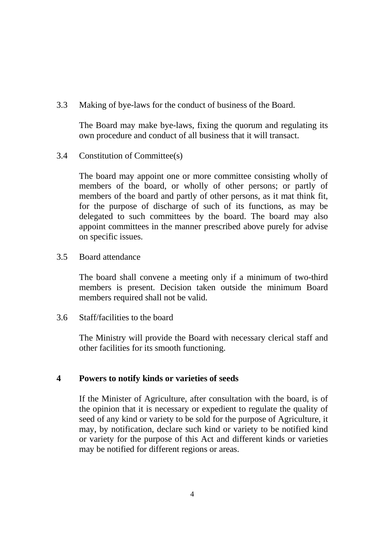3.3 Making of bye-laws for the conduct of business of the Board.

The Board may make bye-laws, fixing the quorum and regulating its own procedure and conduct of all business that it will transact.

3.4 Constitution of Committee(s)

The board may appoint one or more committee consisting wholly of members of the board, or wholly of other persons; or partly of members of the board and partly of other persons, as it mat think fit, for the purpose of discharge of such of its functions, as may be delegated to such committees by the board. The board may also appoint committees in the manner prescribed above purely for advise on specific issues.

3.5 Board attendance

The board shall convene a meeting only if a minimum of two-third members is present. Decision taken outside the minimum Board members required shall not be valid.

3.6 Staff/facilities to the board

The Ministry will provide the Board with necessary clerical staff and other facilities for its smooth functioning.

### **4 Powers to notify kinds or varieties of seeds**

If the Minister of Agriculture, after consultation with the board, is of the opinion that it is necessary or expedient to regulate the quality of seed of any kind or variety to be sold for the purpose of Agriculture, it may, by notification, declare such kind or variety to be notified kind or variety for the purpose of this Act and different kinds or varieties may be notified for different regions or areas.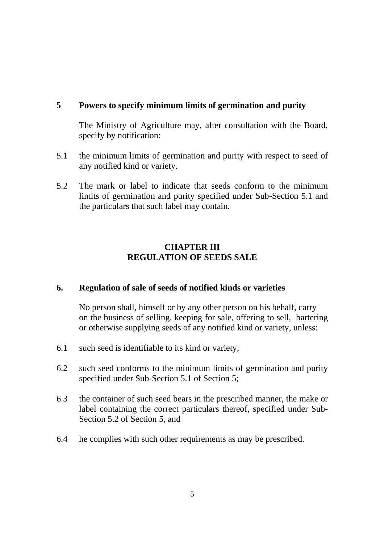# **5 Powers to specify minimum limits of germination and purity**

The Ministry of Agriculture may, after consultation with the Board, specify by notification:

- 5.1 the minimum limits of germination and purity with respect to seed of any notified kind or variety.
- 5.2 The mark or label to indicate that seeds conform to the minimum limits of germination and purity specified under Sub-Section 5.1 and the particulars that such label may contain.

# **CHAPTER III REGULATION OF SEEDS SALE**

### **6. Regulation of sale of seeds of notified kinds or varieties**

No person shall, himself or by any other person on his behalf, carry on the business of selling, keeping for sale, offering to sell, bartering or otherwise supplying seeds of any notified kind or variety, unless:

- 6.1 such seed is identifiable to its kind or variety;
- 6.2 such seed conforms to the minimum limits of germination and purity specified under Sub-Section 5.1 of Section 5;
- 6.3 the container of such seed bears in the prescribed manner, the make or label containing the correct particulars thereof, specified under Sub-Section 5.2 of Section 5, and
- 6.4 he complies with such other requirements as may be prescribed.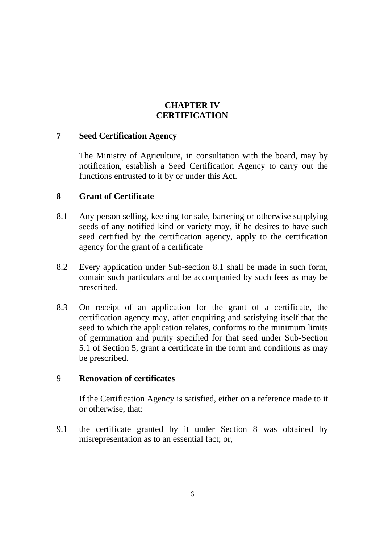# **CHAPTER IV CERTIFICATION**

### **7 Seed Certification Agency**

The Ministry of Agriculture, in consultation with the board, may by notification, establish a Seed Certification Agency to carry out the functions entrusted to it by or under this Act.

### **8 Grant of Certificate**

- 8.1 Any person selling, keeping for sale, bartering or otherwise supplying seeds of any notified kind or variety may, if he desires to have such seed certified by the certification agency, apply to the certification agency for the grant of a certificate
- 8.2 Every application under Sub-section 8.1 shall be made in such form, contain such particulars and be accompanied by such fees as may be prescribed.
- 8.3 On receipt of an application for the grant of a certificate, the certification agency may, after enquiring and satisfying itself that the seed to which the application relates, conforms to the minimum limits of germination and purity specified for that seed under Sub-Section 5.1 of Section 5, grant a certificate in the form and conditions as may be prescribed.

### 9 **Renovation of certificates**

If the Certification Agency is satisfied, either on a reference made to it or otherwise, that:

9.1 the certificate granted by it under Section 8 was obtained by misrepresentation as to an essential fact; or,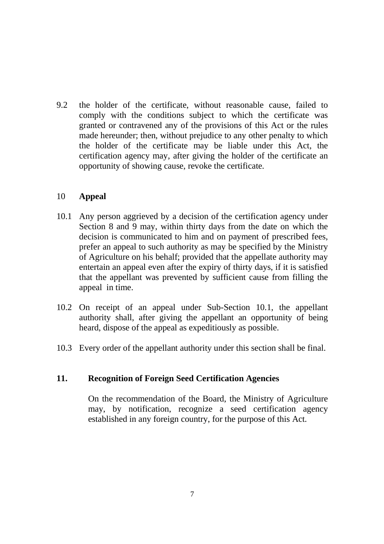9.2 the holder of the certificate, without reasonable cause, failed to comply with the conditions subject to which the certificate was granted or contravened any of the provisions of this Act or the rules made hereunder; then, without prejudice to any other penalty to which the holder of the certificate may be liable under this Act, the certification agency may, after giving the holder of the certificate an opportunity of showing cause, revoke the certificate.

### 10 **Appeal**

- 10.1 Any person aggrieved by a decision of the certification agency under Section 8 and 9 may, within thirty days from the date on which the decision is communicated to him and on payment of prescribed fees, prefer an appeal to such authority as may be specified by the Ministry of Agriculture on his behalf; provided that the appellate authority may entertain an appeal even after the expiry of thirty days, if it is satisfied that the appellant was prevented by sufficient cause from filling the appeal in time.
- 10.2 On receipt of an appeal under Sub-Section 10.1, the appellant authority shall, after giving the appellant an opportunity of being heard, dispose of the appeal as expeditiously as possible.
- 10.3 Every order of the appellant authority under this section shall be final.

### **11. Recognition of Foreign Seed Certification Agencies**

On the recommendation of the Board, the Ministry of Agriculture may, by notification, recognize a seed certification agency established in any foreign country, for the purpose of this Act.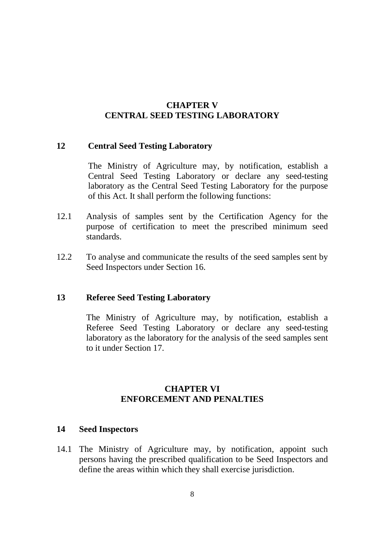# **CHAPTER V CENTRAL SEED TESTING LABORATORY**

#### **12 Central Seed Testing Laboratory**

The Ministry of Agriculture may, by notification, establish a Central Seed Testing Laboratory or declare any seed-testing laboratory as the Central Seed Testing Laboratory for the purpose of this Act. It shall perform the following functions:

- 12.1 Analysis of samples sent by the Certification Agency for the purpose of certification to meet the prescribed minimum seed standards.
- 12.2 To analyse and communicate the results of the seed samples sent by Seed Inspectors under Section 16.

### **13 Referee Seed Testing Laboratory**

The Ministry of Agriculture may, by notification, establish a Referee Seed Testing Laboratory or declare any seed-testing laboratory as the laboratory for the analysis of the seed samples sent to it under Section 17.

# **CHAPTER VI ENFORCEMENT AND PENALTIES**

### **14 Seed Inspectors**

14.1 The Ministry of Agriculture may, by notification, appoint such persons having the prescribed qualification to be Seed Inspectors and define the areas within which they shall exercise jurisdiction.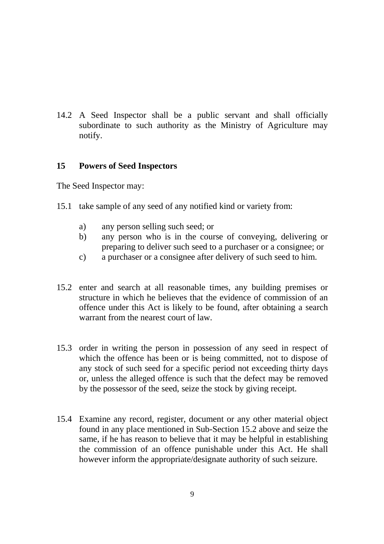14.2 A Seed Inspector shall be a public servant and shall officially subordinate to such authority as the Ministry of Agriculture may notify.

### **15 Powers of Seed Inspectors**

The Seed Inspector may:

- 15.1 take sample of any seed of any notified kind or variety from:
	- a) any person selling such seed; or
	- b) any person who is in the course of conveying, delivering or preparing to deliver such seed to a purchaser or a consignee; or
	- c) a purchaser or a consignee after delivery of such seed to him.
- 15.2 enter and search at all reasonable times, any building premises or structure in which he believes that the evidence of commission of an offence under this Act is likely to be found, after obtaining a search warrant from the nearest court of law.
- 15.3 order in writing the person in possession of any seed in respect of which the offence has been or is being committed, not to dispose of any stock of such seed for a specific period not exceeding thirty days or, unless the alleged offence is such that the defect may be removed by the possessor of the seed, seize the stock by giving receipt.
- 15.4 Examine any record, register, document or any other material object found in any place mentioned in Sub-Section 15.2 above and seize the same, if he has reason to believe that it may be helpful in establishing the commission of an offence punishable under this Act. He shall however inform the appropriate/designate authority of such seizure.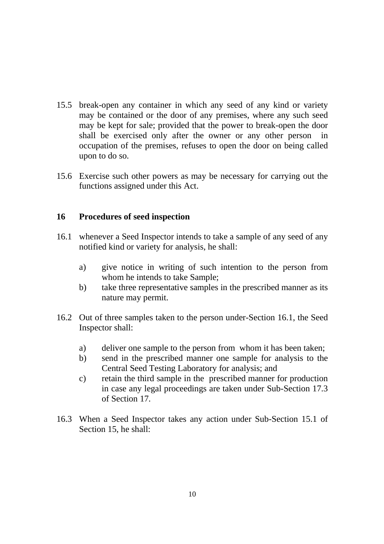- 15.5 break-open any container in which any seed of any kind or variety may be contained or the door of any premises, where any such seed may be kept for sale; provided that the power to break-open the door shall be exercised only after the owner or any other person in occupation of the premises, refuses to open the door on being called upon to do so.
- 15.6 Exercise such other powers as may be necessary for carrying out the functions assigned under this Act.

### **16 Procedures of seed inspection**

- 16.1 whenever a Seed Inspector intends to take a sample of any seed of any notified kind or variety for analysis, he shall:
	- a) give notice in writing of such intention to the person from whom he intends to take Sample;
	- b) take three representative samples in the prescribed manner as its nature may permit.
- 16.2 Out of three samples taken to the person under-Section 16.1, the Seed Inspector shall:
	- a) deliver one sample to the person from whom it has been taken;
	- b) send in the prescribed manner one sample for analysis to the Central Seed Testing Laboratory for analysis; and
	- c) retain the third sample in the prescribed manner for production in case any legal proceedings are taken under Sub-Section 17.3 of Section 17.
- 16.3 When a Seed Inspector takes any action under Sub-Section 15.1 of Section 15, he shall: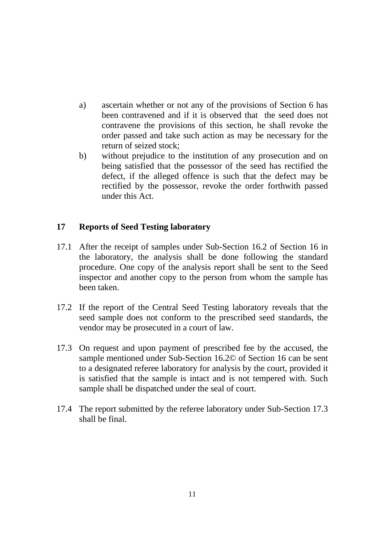- a) ascertain whether or not any of the provisions of Section 6 has been contravened and if it is observed that the seed does not contravene the provisions of this section, he shall revoke the order passed and take such action as may be necessary for the return of seized stock;
- b) without prejudice to the institution of any prosecution and on being satisfied that the possessor of the seed has rectified the defect, if the alleged offence is such that the defect may be rectified by the possessor, revoke the order forthwith passed under this Act.

### **17 Reports of Seed Testing laboratory**

- 17.1 After the receipt of samples under Sub-Section 16.2 of Section 16 in the laboratory, the analysis shall be done following the standard procedure. One copy of the analysis report shall be sent to the Seed inspector and another copy to the person from whom the sample has been taken.
- 17.2 If the report of the Central Seed Testing laboratory reveals that the seed sample does not conform to the prescribed seed standards, the vendor may be prosecuted in a court of law.
- 17.3 On request and upon payment of prescribed fee by the accused, the sample mentioned under Sub-Section 16.2© of Section 16 can be sent to a designated referee laboratory for analysis by the court, provided it is satisfied that the sample is intact and is not tempered with. Such sample shall be dispatched under the seal of court.
- 17.4 The report submitted by the referee laboratory under Sub-Section 17.3 shall be final.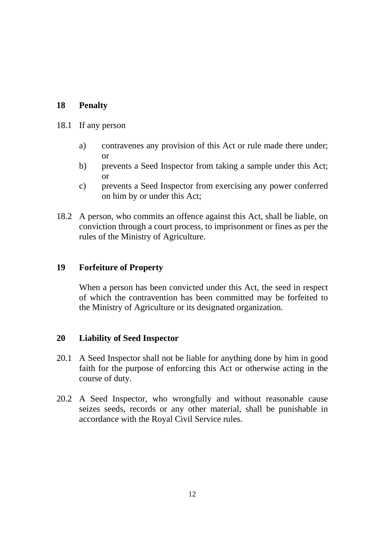# **18 Penalty**

#### 18.1 If any person

- a) contravenes any provision of this Act or rule made there under; or
- b) prevents a Seed Inspector from taking a sample under this Act; or
- c) prevents a Seed Inspector from exercising any power conferred on him by or under this Act;
- 18.2 A person, who commits an offence against this Act, shall be liable, on conviction through a court process, to imprisonment or fines as per the rules of the Ministry of Agriculture.

#### **19 Forfeiture of Property**

 When a person has been convicted under this Act, the seed in respect of which the contravention has been committed may be forfeited to the Ministry of Agriculture or its designated organization.

### **20 Liability of Seed Inspector**

- 20.1 A Seed Inspector shall not be liable for anything done by him in good faith for the purpose of enforcing this Act or otherwise acting in the course of duty.
- 20.2 A Seed Inspector, who wrongfully and without reasonable cause seizes seeds, records or any other material, shall be punishable in accordance with the Royal Civil Service rules.